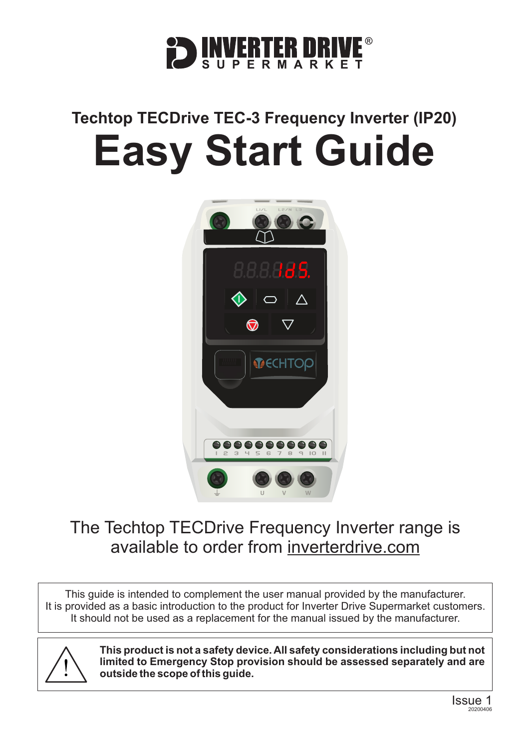

## **Techtop TECDrive TEC-3 Frequency Inverter (IP20) Easy Start Guide**



### The Techtop TECDrive Frequency Inverter range is available to order from [inverterdrive.com](https://inverterdrive.com/m/TEC-Electric-Motors/TecDrive/)

This guide is intended to complement the user manual provided by the manufacturer. It is provided as a basic introduction to the product for Inverter Drive Supermarket customers. It should not be used as a replacement for the manual issued by the manufacturer.



**This product is not a safety device. All safety considerations including but not limited to Emergency Stop provision should be assessed separately and are outside the scope of this guide.**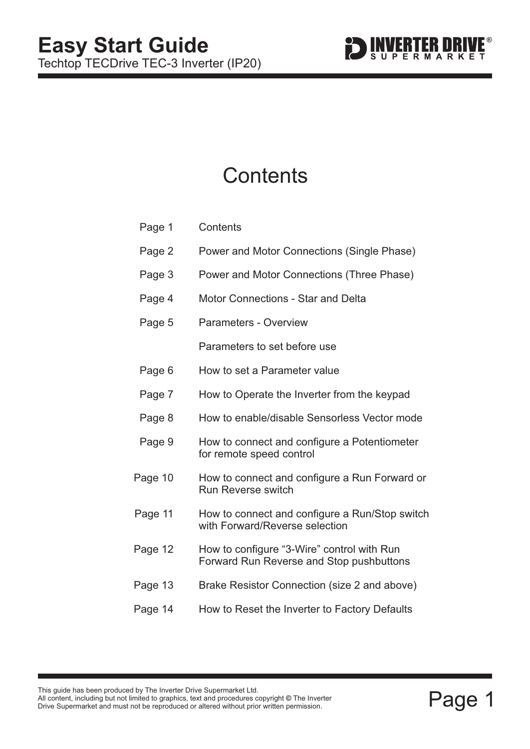

### **Contents**

| Page 1  | Contents                                                                               |  |
|---------|----------------------------------------------------------------------------------------|--|
| Page 2  | Power and Motor Connections (Single Phase)                                             |  |
| Page 3  | Power and Motor Connections (Three Phase)                                              |  |
| Page 4  | <b>Motor Connections - Star and Delta</b>                                              |  |
| Page 5  | <b>Parameters - Overview</b>                                                           |  |
|         | Parameters to set before use                                                           |  |
| Page 6  | How to set a Parameter value                                                           |  |
| Page 7  | How to Operate the Inverter from the keypad                                            |  |
| Page 8  | How to enable/disable Sensorless Vector mode                                           |  |
| Page 9  | How to connect and configure a Potentiometer<br>for remote speed control               |  |
| Page 10 | How to connect and configure a Run Forward or<br><b>Run Reverse switch</b>             |  |
| Page 11 | How to connect and configure a Run/Stop switch<br>with Forward/Reverse selection       |  |
| Page 12 | How to configure "3-Wire" control with Run<br>Forward Run Reverse and Stop pushbuttons |  |
| Page 13 | Brake Resistor Connection (size 2 and above)                                           |  |
| Page 14 | How to Reset the Inverter to Factory Defaults                                          |  |
|         |                                                                                        |  |

This guide has been produced by The Inverter Drive Supermarket Ltd.<br>All content, including but not limited to graphics, text and procedures copyright © The Inverter<br>Drive Supermarket and must not be reproduced or altered w All content, including but not limited to graphics, text and procedures copyright © The Inverter Drive Supermarket and must not be reproduced or altered without prior written permission. **©**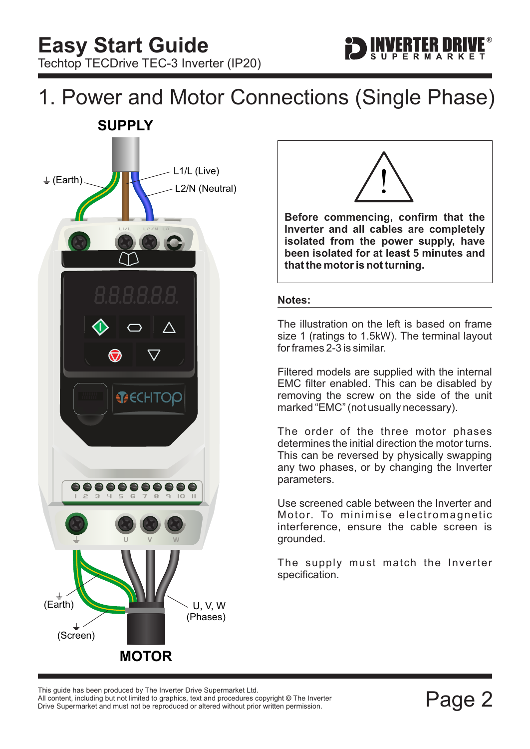# <span id="page-2-0"></span>1. Power and Motor Connections (Single Phase)





ERTER DRIV

**Before commencing, confirm that the Inverter and all cables are completely isolated from the power supply, have been isolated for at least 5 minutes and that the motor is not turning.**

#### **Notes:**

The illustration on the left is based on frame size 1 (ratings to 1.5kW). The terminal layout for frames 2-3 is similar.

Filtered models are supplied with the internal EMC filter enabled. This can be disabled by removing the screw on the side of the unit marked "EMC" (not usually necessary).

The order of the three motor phases determines the initial direction the motor turns. This can be reversed by physically swapping any two phases, or by changing the Inverter parameters.

Use screened cable between the Inverter and Motor. To minimise electromagnetic interference, ensure the cable screen is grounded.

The supply must match the Inverter specification.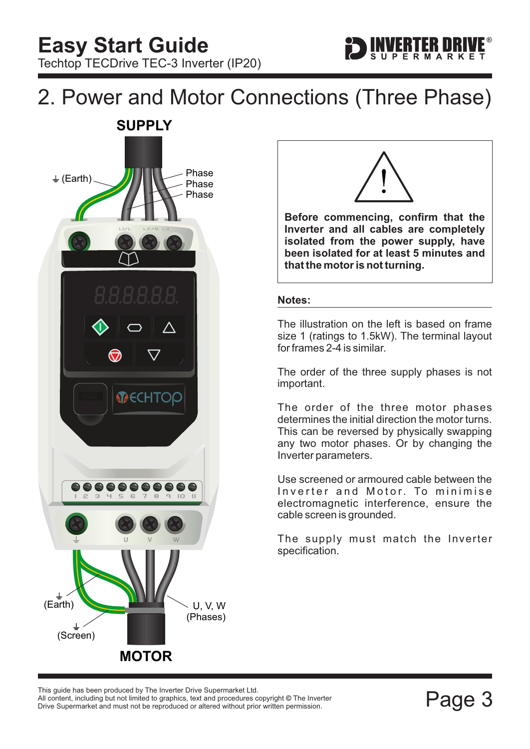<span id="page-3-0"></span>





ERTER DRIV

**Before commencing, confirm that the Inverter and all cables are completely isolated from the power supply, have been isolated for at least 5 minutes and that the motor is not turning.**

#### **Notes:**

The illustration on the left is based on frame size 1 (ratings to 1.5kW). The terminal layout for frames 2-4 is similar.

The order of the three supply phases is not important.

The order of the three motor phases determines the initial direction the motor turns. This can be reversed by physically swapping any two motor phases. Or by changing the Inverter parameters.

Use screened or armoured cable between the Inverter and Motor. To minimise electromagnetic interference, ensure the cable screen is grounded.

The supply must match the Inverter specification.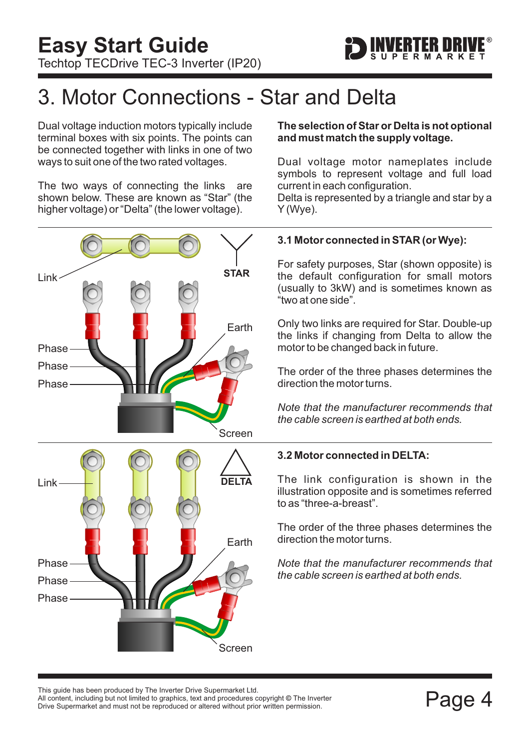

### <span id="page-4-0"></span>3. Motor Connections - Star and Delta

Dual voltage induction motors typically include terminal boxes with six points. The points can be connected together with links in one of two ways to suit one of the two rated voltages.

The two ways of connecting the links are shown below. These are known as "Star" (the higher voltage) or "Delta" (the lower voltage).



#### **The selection of Star or Delta is not optional and must match the supply voltage.**

Dual voltage motor nameplates include symbols to represent voltage and full load current in each configuration.

Delta is represented by a triangle and star by a Y (Wye).

### **3.1 Motor connected in STAR (or Wye):**

For safety purposes, Star (shown opposite) is the default configuration for small motors (usually to 3kW) and is sometimes known as "two at one side".

Only two links are required for Star. Double-up the links if changing from Delta to allow the motor to be changed back in future.

The order of the three phases determines the direction the motor turns.

*Note that the manufacturer recommends that the cable screen is earthed at both ends.*

### **3.2 Motor connected in DELTA:**

The link configuration is shown in the illustration opposite and is sometimes referred to as "three-a-breast".

The order of the three phases determines the direction the motor turns.

*Note that the manufacturer recommends that the cable screen is earthed at both ends.*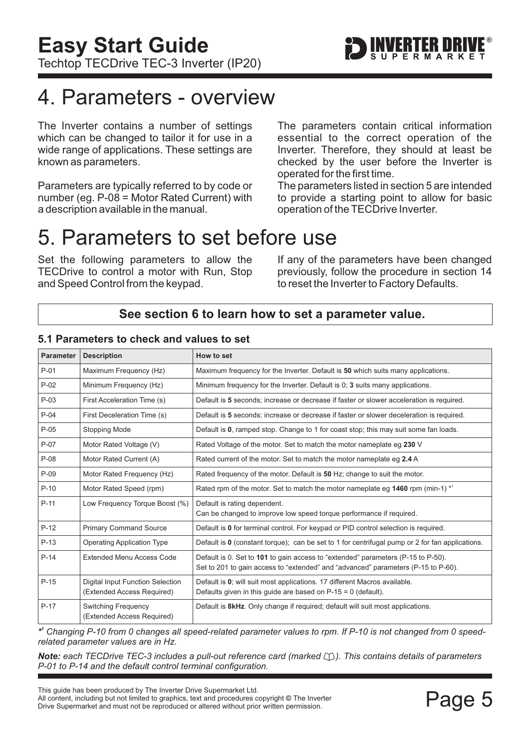### <span id="page-5-0"></span>4. Parameters - overview

The Inverter contains a number of settings which can be changed to tailor it for use in a wide range of applications. These settings are known as parameters.

Parameters are typically referred to by code or number (eg. P-08 = Motor Rated Current) with a description available in the manual.

The parameters contain critical information essential to the correct operation of the Inverter. Therefore, they should at least be checked by the user before the Inverter is operated for the first time.

The parameters listed in section 5 are intended to provide a starting point to allow for basic operation of the TECDrive Inverter.

### 5. Parameters to set before use

Set the following parameters to allow the TECDrive to control a motor with Run, Stop and Speed Control from the keypad.

If any of the parameters have been changed previously, follow the procedure in [section 14](#page-14-0) to reset the Inverter to Factory Defaults.

### **See [section 6](#page-6-0) to learn how to set a parameter value.**

| <b>Parameter</b> | <b>Description</b>                                             | How to set                                                                                                                                                            |  |
|------------------|----------------------------------------------------------------|-----------------------------------------------------------------------------------------------------------------------------------------------------------------------|--|
| $P-01$           | Maximum Frequency (Hz)                                         | Maximum frequency for the Inverter. Default is 50 which suits many applications.                                                                                      |  |
| $P-02$           | Minimum Frequency (Hz)                                         | Minimum frequency for the Inverter. Default is 0; 3 suits many applications.                                                                                          |  |
| $P-03$           | First Acceleration Time (s)                                    | Default is 5 seconds; increase or decrease if faster or slower acceleration is required.                                                                              |  |
| $P-04$           | First Deceleration Time (s)                                    | Default is 5 seconds; increase or decrease if faster or slower deceleration is required.                                                                              |  |
| $P-05$           | Stopping Mode                                                  | Default is 0, ramped stop. Change to 1 for coast stop; this may suit some fan loads.                                                                                  |  |
| $P-07$           | Motor Rated Voltage (V)                                        | Rated Voltage of the motor. Set to match the motor nameplate eg 230 V                                                                                                 |  |
| $P-08$           | Motor Rated Current (A)                                        | Rated current of the motor. Set to match the motor nameplate eq 2.4 A                                                                                                 |  |
| $P-09$           | Motor Rated Frequency (Hz)                                     | Rated frequency of the motor. Default is 50 Hz; change to suit the motor.                                                                                             |  |
| $P-10$           | Motor Rated Speed (rpm)                                        | Rated rpm of the motor. Set to match the motor nameplate eg 1460 rpm (min-1) <sup>*1</sup>                                                                            |  |
| $P-11$           | Low Frequency Torque Boost (%)                                 | Default is rating dependent.                                                                                                                                          |  |
|                  |                                                                | Can be changed to improve low speed torque performance if required.                                                                                                   |  |
| $P-12$           | <b>Primary Command Source</b>                                  | Default is 0 for terminal control. For keypad or PID control selection is required.                                                                                   |  |
| $P-13$           | <b>Operating Application Type</b>                              | Default is $\mathbf 0$ (constant torque); can be set to 1 for centrifugal pump or 2 for fan applications.                                                             |  |
| $P-14$           | <b>Extended Menu Access Code</b>                               | Default is 0. Set to 101 to gain access to "extended" parameters (P-15 to P-50).<br>Set to 201 to gain access to "extended" and "advanced" parameters (P-15 to P-60). |  |
| $P-15$           | Digital Input Function Selection<br>(Extended Access Required) | Default is 0; will suit most applications. 17 different Macros available.<br>Defaults given in this guide are based on $P-15 = 0$ (default).                          |  |
| $P-17$           | <b>Switching Frequency</b><br>(Extended Access Required)       | Default is <b>8kHz</b> . Only change if required; default will suit most applications.                                                                                |  |

### **5.1 Parameters to check and values to set**

*\* <sup>1</sup> Changing P-10 from 0 changes all speed-related parameter values to rpm. If P-10 is not changed from 0 speedrelated parameter values are in Hz.*

*Note:* each TECDrive TEC-3 includes a pull-out reference card (marked  $\Box$ ). This contains details of parameters *P-01 to P-14 and the default control terminal configuration.*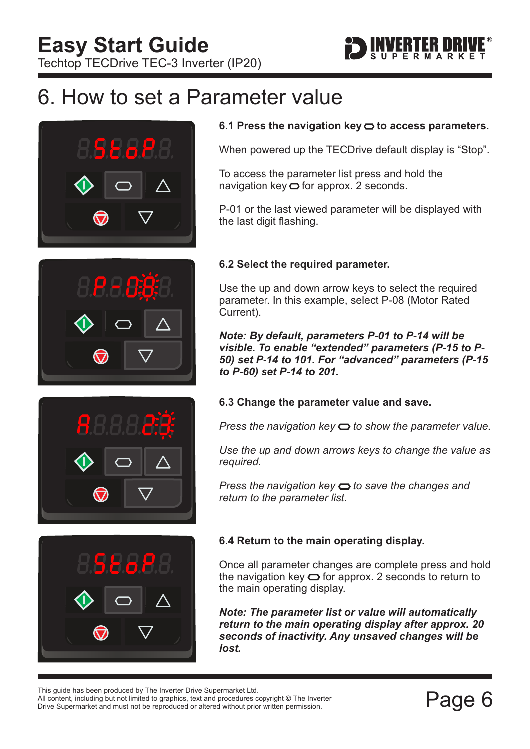

### <span id="page-6-0"></span>6. How to set a Parameter value









### 6.1 Press the navigation key  $\bigcirc$  to access parameters.

When powered up the TECDrive default display is "Stop".

To access the parameter list press and hold the navigation key  $\bigcirc$  for approx. 2 seconds.

P-01 or the last viewed parameter will be displayed with the last digit flashing.

### **6.2 Select the required parameter.**

Use the up and down arrow keys to select the required parameter. In this example, select P-08 (Motor Rated Current).

*Note: By default, parameters P-01 to P-14 will be visible. To enable "extended" parameters (P-15 to P-50) set P-14 to 101. For "advanced" parameters (P-15 to P-60) set P-14 to 201.*

#### **6.3 Change the parameter value and save.**

*Press the navigation key*  $\Rightarrow$  to show the parameter value.

*Use the up and down arrows keys to change the value as required.*

*Press the navigation key*  $\bigcirc$  to save the changes and *return to the parameter list.*

### **6.4 Return to the main operating display.**

Once all parameter changes are complete press and hold the navigation key  $\bigcirc$  for approx. 2 seconds to return to the main operating display.

*Note: The parameter list or value will automatically return to the main operating display after approx. 20 seconds of inactivity. Any unsaved changes will be lost.*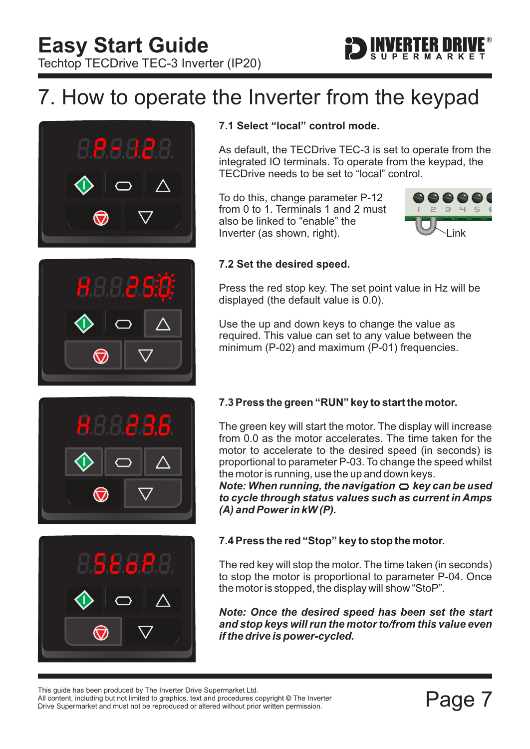## <span id="page-7-0"></span>7. How to operate the Inverter from the keypad





### **7.1 Select "local" control mode.**

As default, the TECDrive TEC-3 is set to operate from the integrated IO terminals. To operate from the keypad, the TECDrive needs to be set to "local" control.

To do this, change parameter P-12 from 0 to 1. Terminals 1 and 2 must also be linked to "enable" the Inverter (as shown, right).



FRITER DIRI

#### **7.2 Set the desired speed.**

Press the red stop key. The set point value in Hz will be displayed (the default value is 0.0).

Use the up and down keys to change the value as required. This value can set to any value between the minimum (P-02) and maximum (P-01) frequencies.



### **7.3 Press the green "RUN" key to start the motor.**

The green key will start the motor. The display will increase from 0.0 as the motor accelerates. The time taken for the motor to accelerate to the desired speed (in seconds) is proportional to parameter P-03. To change the speed whilst the motor is running, use the up and down keys.

*Note: When running, the navigation*  $\bigcirc$  *key can be used to cycle through status values such as current in Amps (A) and Power in kW (P).*



### **7.4 Press the red "Stop" key to stop the motor.**

The red key will stop the motor. The time taken (in seconds) to stop the motor is proportional to parameter P-04. Once the motor is stopped, the display will show "StoP".

*Note: Once the desired speed has been set the start and stop keys will run the motor to/from this value even if the drive is power-cycled.*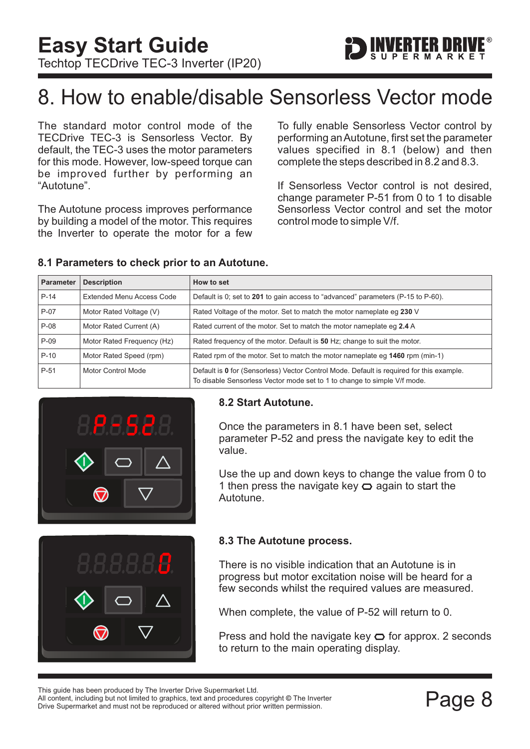

### <span id="page-8-0"></span>8. How to enable/disable Sensorless Vector mode

The standard motor control mode of the TECDrive TEC-3 is Sensorless Vector. By default, the TEC-3 uses the motor parameters for this mode. However, low-speed torque can be improved further by performing an "Autotune".

The Autotune process improves performance by building a model of the motor. This requires the Inverter to operate the motor for a few To fully enable Sensorless Vector control by performing anAutotune, first set the parameter values specified in 8.1 (below) and then complete the steps described in 8.2 and 8.3.

If Sensorless Vector control is not desired, change parameter P-51 from 0 to 1 to disable Sensorless Vector control and set the motor control mode to simple V/f.

| <b>Parameter</b> | <b>Description</b>         | How to set                                                                                                                                                           |  |
|------------------|----------------------------|----------------------------------------------------------------------------------------------------------------------------------------------------------------------|--|
| $P-14$           | Extended Menu Access Code  | Default is 0; set to 201 to gain access to "advanced" parameters (P-15 to P-60).                                                                                     |  |
| $P-07$           | Motor Rated Voltage (V)    | Rated Voltage of the motor. Set to match the motor nameplate eg 230 V                                                                                                |  |
| $P-08$           | Motor Rated Current (A)    | Rated current of the motor. Set to match the motor nameplate eq 2.4 A                                                                                                |  |
| $P-09$           | Motor Rated Frequency (Hz) | Rated frequency of the motor. Default is 50 Hz; change to suit the motor.                                                                                            |  |
| $P-10$           | Motor Rated Speed (rpm)    | Rated rpm of the motor. Set to match the motor nameplate eq 1460 rpm (min-1)                                                                                         |  |
| P-51             | Motor Control Mode         | Default is 0 for (Sensorless) Vector Control Mode. Default is required for this example.<br>To disable Sensorless Vector mode set to 1 to change to simple V/f mode. |  |

#### **8.1 Parameters to check prior to an Autotune.**



#### **8.2 Start Autotune.**

Once the parameters in 8.1 have been set, select parameter P-52 and press the navigate key to edit the value.

Use the up and down keys to change the value from 0 to 1 then press the navigate key  $\bigcirc$  again to start the Autotune.



### **8.3 The Autotune process.**

There is no visible indication that an Autotune is in progress but motor excitation noise will be heard for a few seconds whilst the required values are measured.

When complete, the value of P-52 will return to 0.

Press and hold the navigate key  $\bigcirc$  for approx. 2 seconds to return to the main operating display.

Filis guide rias been produced by The Inverter Drive Supermarket Etd.<br>All content, including but not limited to graphics, text and procedures copyright © The Inverter<br>Drive Supermarket and must not be reproduced or altered All content, including but not limited to graphics, text and procedures copyright © The Inverter This guide has been produced by The Inverter Drive Supermarket Ltd.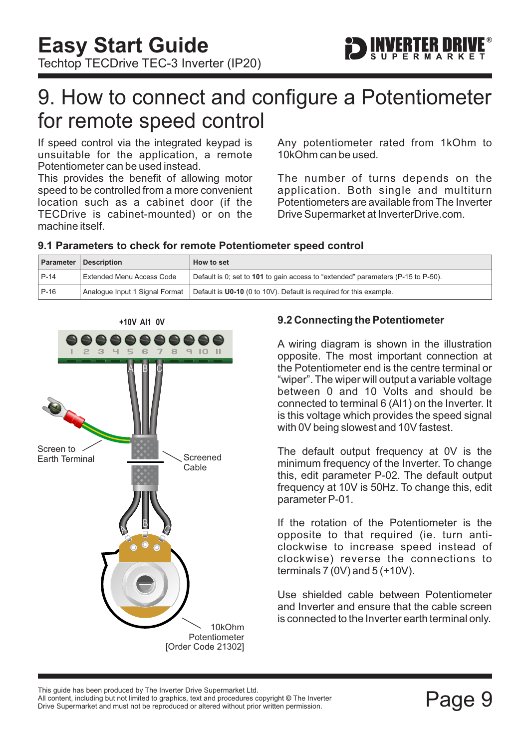

### <span id="page-9-0"></span>9. How to connect and configure a Potentiometer for remote speed control

If speed control via the integrated keypad is unsuitable for the application, a remote Potentiometer can be used instead.

This provides the benefit of allowing motor speed to be controlled from a more convenient location such as a cabinet door (if the TECDrive is cabinet-mounted) or on the machine itself.

Any potentiometer rated from 1kOhm to 10kOhm can be used.

The number of turns depends on the application. Both single and multiturn Potentiometers are available from The Inverter Drive Supermarket at InverterDrive.com.

### **9.1 Parameters to check for remote Potentiometer speed control**

|        | <b>Parameter   Description</b> | <b>How to set</b>                                                                |
|--------|--------------------------------|----------------------------------------------------------------------------------|
| $P-14$ | Extended Menu Access Code      | Default is 0; set to 101 to gain access to "extended" parameters (P-15 to P-50). |
| $P-16$ | Analogue Input 1 Signal Format | Default is U0-10 (0 to 10V). Default is required for this example.               |



### **9.2 Connecting the Potentiometer**

A wiring diagram is shown in the illustration opposite. The most important connection at the Potentiometer end is the centre terminal or "wiper". The wiper will output a variable voltage between 0 and 10 Volts and should be connected to terminal 6 (AI1) on the Inverter. It is this voltage which provides the speed signal with 0V being slowest and 10V fastest.

The default output frequency at 0V is the minimum frequency of the Inverter. To change this, edit parameter P-02. The default output frequency at 10V is 50Hz. To change this, edit parameter P-01.

If the rotation of the Potentiometer is the opposite to that required (ie. turn anticlockwise to increase speed instead of clockwise) reverse the connections to terminals  $7(0V)$  and  $5(+10V)$ .

Use shielded cable between Potentiometer and Inverter and ensure that the cable screen is connected to the Inverter earth terminal only.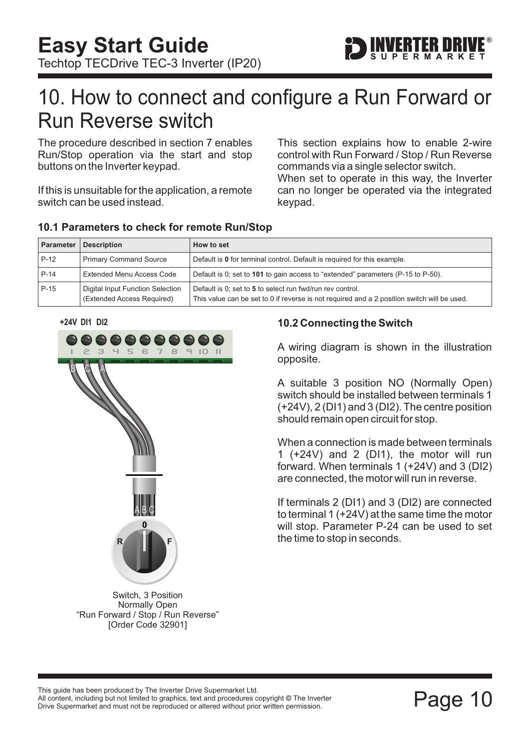

### <span id="page-10-0"></span>10. How to connect and configure a Run Forward or Run Reverse switch

The procedure described in [section 7](#page-7-0) enables Run/Stop operation via the start and stop buttons on the Inverter keypad.

If this is unsuitable for the application, a remote switch can be used instead.

This section explains how to enable 2-wire control with Run Forward / Stop / Run Reverse commands via a single selector switch.

When set to operate in this way, the Inverter can no longer be operated via the integrated keypad.

| Parameter | <b>Description</b>                                                                                                                                                                                                         | How to set                                                                       |  |
|-----------|----------------------------------------------------------------------------------------------------------------------------------------------------------------------------------------------------------------------------|----------------------------------------------------------------------------------|--|
| $P-12$    | <b>Primary Command Source</b><br>Default is 0 for terminal control. Default is required for this example.                                                                                                                  |                                                                                  |  |
| $P-14$    | <b>Extended Menu Access Code</b>                                                                                                                                                                                           | Default is 0; set to 101 to gain access to "extended" parameters (P-15 to P-50). |  |
| $P-15$    | Digital Input Function Selection<br>Default is 0; set to 5 to select run fwd/run rev control.<br>(Extended Access Required)<br>This value can be set to 0 if reverse is not required and a 2 position switch will be used. |                                                                                  |  |

#### **10.1 Parameters to check for remote Run/Stop**

**+24V DI1 DI2**



Switch, 3 Position Normally Open "Run Forward / Stop / Run Reverse" [Order Code 32901]

### **10.2 Connecting the Switch**

A wiring diagram is shown in the illustration opposite.

A suitable 3 position NO (Normally Open) switch should be installed between terminals 1 (+24V), 2 (DI1) and 3 (DI2). The centre position should remain open circuit for stop.

When a connection is made between terminals 1 (+24V) and 2 (DI1), the motor will run forward. When terminals 1 (+24V) and 3 (DI2) are connected, the motor will run in reverse.

If terminals 2 (DI1) and 3 (DI2) are connected to terminal 1 (+24V) at the same time the motor will stop. Parameter P-24 can be used to set the time to stop in seconds.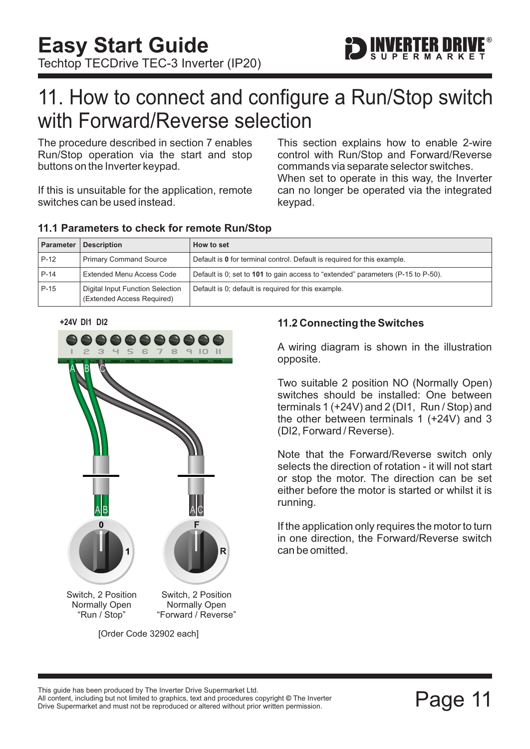

### <span id="page-11-0"></span>11. How to connect and configure a Run/Stop switch with Forward/Reverse selection

The procedure described in [section 7](#page-7-0) enables Run/Stop operation via the start and stop buttons on the Inverter keypad.

If this is unsuitable for the application, remote switches can be used instead.

This section explains how to enable 2-wire control with Run/Stop and Forward/Reverse commands via separate selector switches. When set to operate in this way, the Inverter can no longer be operated via the integrated keypad.

| Parameter | <b>Description</b>                                             | How to set                                                                       |
|-----------|----------------------------------------------------------------|----------------------------------------------------------------------------------|
| $P-12$    | <b>Primary Command Source</b>                                  | Default is 0 for terminal control. Default is required for this example.         |
| $P-14$    | Extended Menu Access Code                                      | Default is 0; set to 101 to gain access to "extended" parameters (P-15 to P-50). |
| $P-15$    | Digital Input Function Selection<br>(Extended Access Required) | Default is 0; default is required for this example.                              |

#### **11.1 Parameters to check for remote Run/Stop**





### **11.2 Connecting the Switches**

A wiring diagram is shown in the illustration opposite.

Two suitable 2 position NO (Normally Open) switches should be installed: One between terminals 1 (+24V) and 2 (DI1, Run / Stop) and the other between terminals 1 (+24V) and 3 (DI2, Forward / Reverse).

Note that the Forward/Reverse switch only selects the direction of rotation - it will not start or stop the motor. The direction can be set either before the motor is started or whilst it is running.

If the application only requires the motor to turn in one direction, the Forward/Reverse switch can be omitted.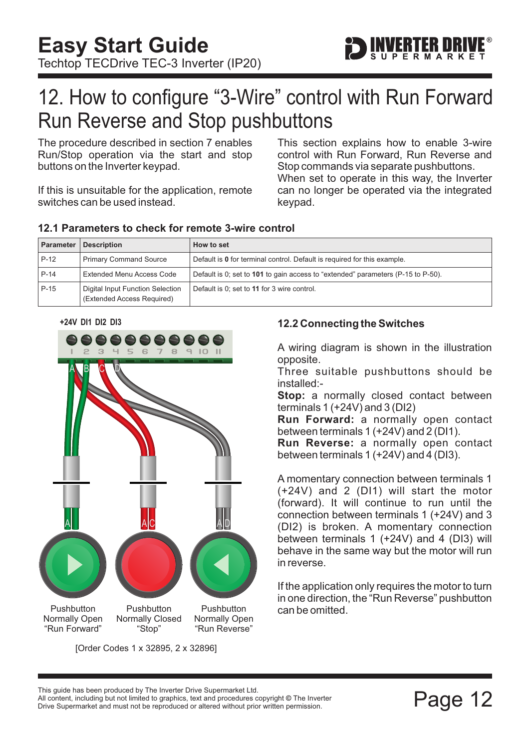

### <span id="page-12-0"></span>12. How to configure "3-Wire" control with Run Forward Run Reverse and Stop pushbuttons

The procedure described in [section 7](#page-7-0) enables Run/Stop operation via the start and stop buttons on the Inverter keypad.

If this is unsuitable for the application, remote switches can be used instead.

When set to operate in this way, the Inverter can no longer be operated via the integrated keypad. This section explains how to enable 3-wire control with Run Forward, Run Reverse and Stop commands via separate pushbuttons.

| Parameter | <b>Description</b>                                             | <b>How to set</b>                                                                |
|-----------|----------------------------------------------------------------|----------------------------------------------------------------------------------|
| $P-12$    | <b>Primary Command Source</b>                                  | Default is 0 for terminal control. Default is required for this example.         |
| P-14      | Extended Menu Access Code                                      | Default is 0; set to 101 to gain access to "extended" parameters (P-15 to P-50). |
| $P-15$    | Digital Input Function Selection<br>(Extended Access Required) | Default is 0; set to 11 for 3 wire control.                                      |

#### **12.1 Parameters to check for remote 3-wire control**





[Order Codes 1 x 32895, 2 x 32896]

#### **12.2 Connecting the Switches**

A wiring diagram is shown in the illustration opposite.

Three suitable pushbuttons should be installed:-

**Stop:** a normally closed contact between terminals 1 (+24V) and 3 (DI2)

**Run Forward:** a normally open contact between terminals 1 (+24V) and 2 (DI1).

**Run Reverse:** a normally open contact between terminals 1 (+24V) and 4 (DI3).

A momentary connection between terminals 1 (+24V) and 2 (DI1) will start the motor (forward). It will continue to run until the connection between terminals 1 (+24V) and 3 (DI2) is broken. A momentary connection between terminals 1 (+24V) and 4 (DI3) will behave in the same way but the motor will run in reverse.

If the application only requires the motor to turn in one direction, the "Run Reverse" pushbutton can be omitted.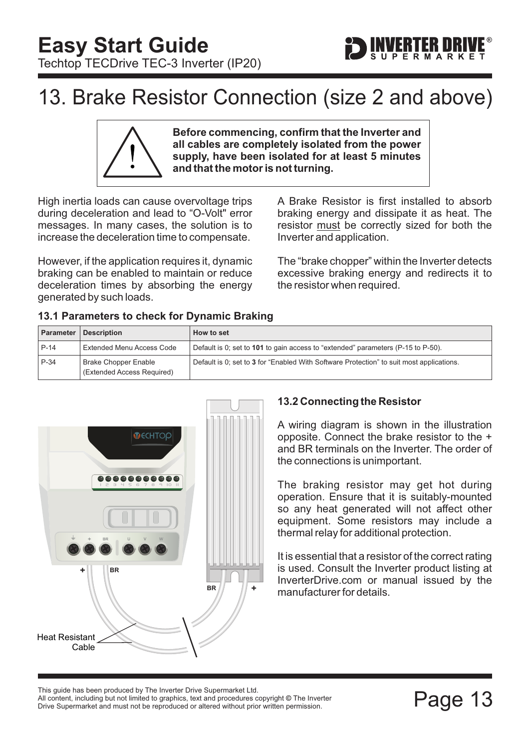### <span id="page-13-0"></span>13. Brake Resistor Connection (size 2 and above)

**Before commencing, confirm that the Inverter and all cables are completely isolated from the power supply, have been isolated for at least 5 minutes and that the motor is not turning.**

High inertia loads can cause overvoltage trips during deceleration and lead to "O-Volt" error messages. In many cases, the solution is to increase the deceleration time to compensate.

However, if the application requires it, dynamic braking can be enabled to maintain or reduce deceleration times by absorbing the energy generated by such loads.

A Brake Resistor is first installed to absorb braking energy and dissipate it as heat. The resistor must be correctly sized for both the Inverter and application.

ERTER DRIV

The "brake chopper" within the Inverter detects excessive braking energy and redirects it to the resistor when required.

|  | 13.1 Parameters to check for Dynamic Braking |
|--|----------------------------------------------|
|  |                                              |

**Parameter Description How to set** P-14 Extended Menu Access Code Default is 0; set to 101 to gain access to "extended" parameters (P-15 to P-50). P-34 (Extended Access Required) Brake Chopper Enable **Default is 0; set to 3 for "Enabled With Software Protection" to suit most applications.** 



**BR +**

### **13.2 Connecting the Resistor**

A wiring diagram is shown in the illustration opposite. Connect the brake resistor to the + and BR terminals on the Inverter. The order of the connections is unimportant.

The braking resistor may get hot during operation. Ensure that it is suitably-mounted so any heat generated will not affect other equipment. Some resistors may include a thermal relay for additional protection.

It is essential that a resistor of the correct rating is used. Consult the Inverter product listing at InverterDrive.com or manual issued by the manufacturer for details.

This guide has been produced by The Inverter Drive Supermarket Ltd.<br>All content, including but not limited to graphics, text and procedures copyright © The Inverter<br>Drive Supermarket and must not be reproduced or altered w All content, including but not limited to graphics, text and procedures copyright © The Inverter

Heat Resistant

Cable